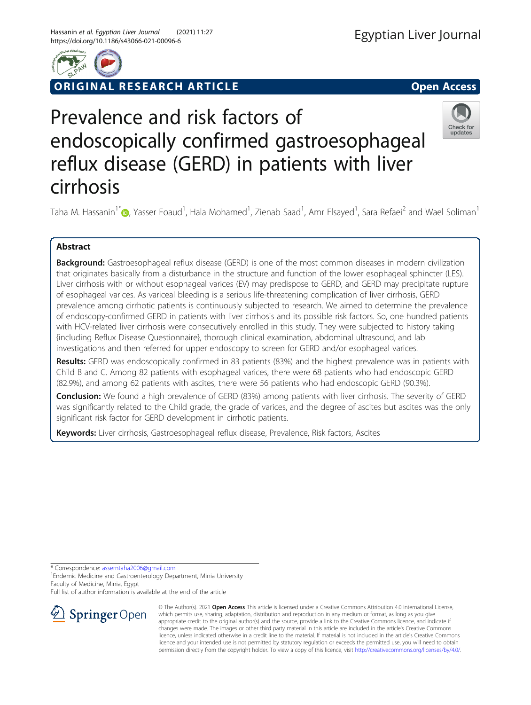

RIGINAL RESEARCH ARTICLE **External of the Contract Contract Contract Contract Contract Contract Contract Contract Contract Contract Contract Contract Contract Contract Contract Contract Contract Contract Contract Contract** 



# Prevalence and risk factors of endoscopically confirmed gastroesophageal reflux disease (GERD) in patients with liver cirrhosis



Taha M. Hassanin<sup>1\*</sup>�[,](http://orcid.org/0000-0001-6435-4359) Yasser Foaud<sup>1</sup>, Hala Mohamed<sup>1</sup>, Zienab Saad<sup>1</sup>, Amr Elsayed<sup>1</sup>, Sara Refaei<sup>2</sup> and Wael Soliman<sup>1</sup>

# Abstract

**Background:** Gastroesophageal reflux disease (GERD) is one of the most common diseases in modern civilization that originates basically from a disturbance in the structure and function of the lower esophageal sphincter (LES). Liver cirrhosis with or without esophageal varices (EV) may predispose to GERD, and GERD may precipitate rupture of esophageal varices. As variceal bleeding is a serious life-threatening complication of liver cirrhosis, GERD prevalence among cirrhotic patients is continuously subjected to research. We aimed to determine the prevalence of endoscopy-confirmed GERD in patients with liver cirrhosis and its possible risk factors. So, one hundred patients with HCV-related liver cirrhosis were consecutively enrolled in this study. They were subjected to history taking {including Reflux Disease Questionnaire}, thorough clinical examination, abdominal ultrasound, and lab investigations and then referred for upper endoscopy to screen for GERD and/or esophageal varices.

Results: GERD was endoscopically confirmed in 83 patients (83%) and the highest prevalence was in patients with Child B and C. Among 82 patients with esophageal varices, there were 68 patients who had endoscopic GERD (82.9%), and among 62 patients with ascites, there were 56 patients who had endoscopic GERD (90.3%).

Conclusion: We found a high prevalence of GERD (83%) among patients with liver cirrhosis. The severity of GERD was significantly related to the Child grade, the grade of varices, and the degree of ascites but ascites was the only significant risk factor for GERD development in cirrhotic patients.

Keywords: Liver cirrhosis, Gastroesophageal reflux disease, Prevalence, Risk factors, Ascites

\* Correspondence: [assemtaha2006@gmail.com](mailto:assemtaha2006@gmail.com) <sup>1</sup>

<sup>1</sup> Endemic Medicine and Gastroenterology Department, Minia University Faculty of Medicine, Minia, Egypt

Full list of author information is available at the end of the article



© The Author(s). 2021 Open Access This article is licensed under a Creative Commons Attribution 4.0 International License, which permits use, sharing, adaptation, distribution and reproduction in any medium or format, as long as you give appropriate credit to the original author(s) and the source, provide a link to the Creative Commons licence, and indicate if changes were made. The images or other third party material in this article are included in the article's Creative Commons licence, unless indicated otherwise in a credit line to the material. If material is not included in the article's Creative Commons licence and your intended use is not permitted by statutory regulation or exceeds the permitted use, you will need to obtain permission directly from the copyright holder. To view a copy of this licence, visit <http://creativecommons.org/licenses/by/4.0/>.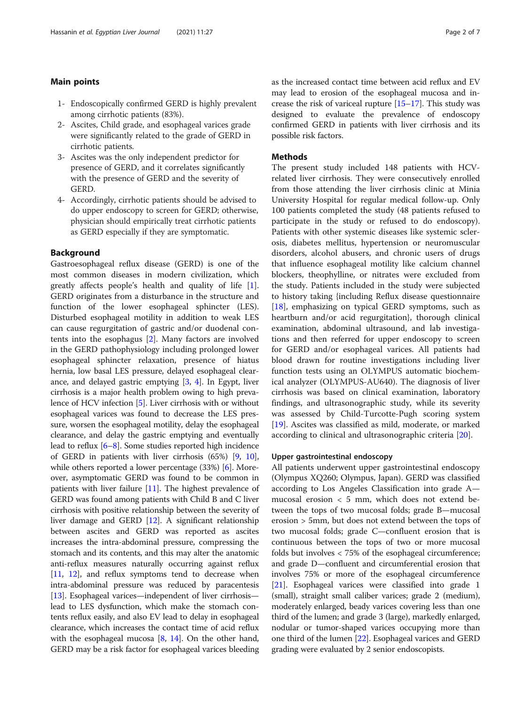# Main points

- 1- Endoscopically confirmed GERD is highly prevalent among cirrhotic patients (83%).
- 2- Ascites, Child grade, and esophageal varices grade were significantly related to the grade of GERD in cirrhotic patients.
- 3- Ascites was the only independent predictor for presence of GERD, and it correlates significantly with the presence of GERD and the severity of **GERD.**
- 4- Accordingly, cirrhotic patients should be advised to do upper endoscopy to screen for GERD; otherwise, physician should empirically treat cirrhotic patients as GERD especially if they are symptomatic.

# **Background**

Gastroesophageal reflux disease (GERD) is one of the most common diseases in modern civilization, which greatly affects people's health and quality of life [\[1](#page-5-0)]. GERD originates from a disturbance in the structure and function of the lower esophageal sphincter (LES). Disturbed esophageal motility in addition to weak LES can cause regurgitation of gastric and/or duodenal contents into the esophagus [[2\]](#page-5-0). Many factors are involved in the GERD pathophysiology including prolonged lower esophageal sphincter relaxation, presence of hiatus hernia, low basal LES pressure, delayed esophageal clearance, and delayed gastric emptying [[3](#page-5-0), [4](#page-5-0)]. In Egypt, liver cirrhosis is a major health problem owing to high prevalence of HCV infection [\[5](#page-5-0)]. Liver cirrhosis with or without esophageal varices was found to decrease the LES pressure, worsen the esophageal motility, delay the esophageal clearance, and delay the gastric emptying and eventually lead to reflux [[6](#page-5-0)–[8](#page-5-0)]. Some studies reported high incidence of GERD in patients with liver cirrhosis (65%) [[9,](#page-5-0) [10](#page-5-0)], while others reported a lower percentage (33%) [\[6](#page-5-0)]. Moreover, asymptomatic GERD was found to be common in patients with liver failure [\[11\]](#page-5-0). The highest prevalence of GERD was found among patients with Child B and C liver cirrhosis with positive relationship between the severity of liver damage and GERD [[12](#page-5-0)]. A significant relationship between ascites and GERD was reported as ascites increases the intra-abdominal pressure, compressing the stomach and its contents, and this may alter the anatomic anti-reflux measures naturally occurring against reflux [[11](#page-5-0), [12\]](#page-5-0), and reflux symptoms tend to decrease when intra-abdominal pressure was reduced by paracentesis [[13](#page-5-0)]. Esophageal varices—independent of liver cirrhosis lead to LES dysfunction, which make the stomach contents reflux easily, and also EV lead to delay in esophageal clearance, which increases the contact time of acid reflux with the esophageal mucosa  $[8, 14]$  $[8, 14]$  $[8, 14]$  $[8, 14]$ . On the other hand, GERD may be a risk factor for esophageal varices bleeding as the increased contact time between acid reflux and EV may lead to erosion of the esophageal mucosa and increase the risk of variceal rupture  $[15-17]$  $[15-17]$  $[15-17]$  $[15-17]$ . This study was designed to evaluate the prevalence of endoscopy confirmed GERD in patients with liver cirrhosis and its possible risk factors.

#### Methods

The present study included 148 patients with HCVrelated liver cirrhosis. They were consecutively enrolled from those attending the liver cirrhosis clinic at Minia University Hospital for regular medical follow-up. Only 100 patients completed the study (48 patients refused to participate in the study or refused to do endoscopy). Patients with other systemic diseases like systemic sclerosis, diabetes mellitus, hypertension or neuromuscular disorders, alcohol abusers, and chronic users of drugs that influence esophageal motility like calcium channel blockers, theophylline, or nitrates were excluded from the study. Patients included in the study were subjected to history taking {including Reflux disease questionnaire [[18\]](#page-6-0), emphasizing on typical GERD symptoms, such as heartburn and/or acid regurgitation}, thorough clinical examination, abdominal ultrasound, and lab investigations and then referred for upper endoscopy to screen for GERD and/or esophageal varices. All patients had blood drawn for routine investigations including liver function tests using an OLYMPUS automatic biochemical analyzer (OLYMPUS-AU640). The diagnosis of liver cirrhosis was based on clinical examination, laboratory findings, and ultrasonographic study, while its severity was assessed by Child-Turcotte-Pugh scoring system [[19\]](#page-6-0). Ascites was classified as mild, moderate, or marked according to clinical and ultrasonographic criteria [\[20](#page-6-0)].

#### Upper gastrointestinal endoscopy

All patients underwent upper gastrointestinal endoscopy (Olympus XQ260; Olympus, Japan). GERD was classified according to Los Angeles Classification into grade A mucosal erosion < 5 mm, which does not extend between the tops of two mucosal folds; grade B—mucosal erosion > 5mm, but does not extend between the tops of two mucosal folds; grade C—confluent erosion that is continuous between the tops of two or more mucosal folds but involves < 75% of the esophageal circumference; and grade D—confluent and circumferential erosion that involves 75% or more of the esophageal circumference [[21](#page-6-0)]. Esophageal varices were classified into grade 1 (small), straight small caliber varices; grade 2 (medium), moderately enlarged, beady varices covering less than one third of the lumen; and grade 3 (large), markedly enlarged, nodular or tumor-shaped varices occupying more than one third of the lumen [\[22\]](#page-6-0). Esophageal varices and GERD grading were evaluated by 2 senior endoscopists.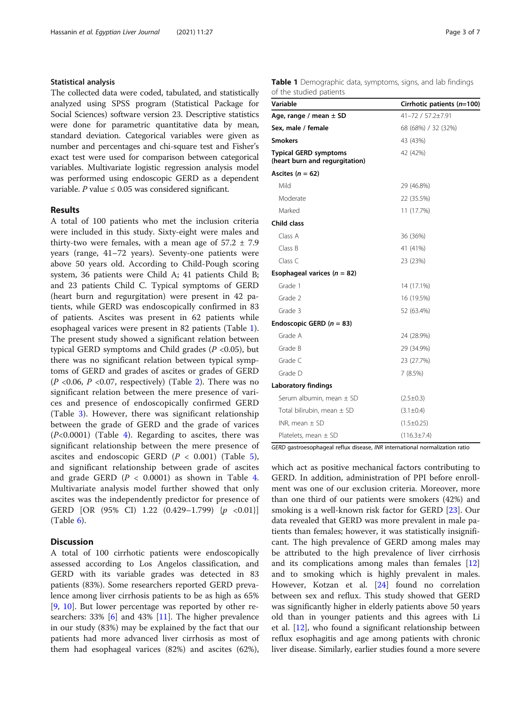# Statistical analysis

The collected data were coded, tabulated, and statistically analyzed using SPSS program (Statistical Package for Social Sciences) software version 23. Descriptive statistics were done for parametric quantitative data by mean, standard deviation. Categorical variables were given as number and percentages and chi-square test and Fisher's exact test were used for comparison between categorical variables. Multivariate logistic regression analysis model was performed using endoscopic GERD as a dependent variable. P value  $\leq 0.05$  was considered significant.

#### Results

A total of 100 patients who met the inclusion criteria were included in this study. Sixty-eight were males and thirty-two were females, with a mean age of  $57.2 \pm 7.9$ years (range, 41–72 years). Seventy-one patients were above 50 years old. According to Child-Pough scoring system, 36 patients were Child A; 41 patients Child B; and 23 patients Child C. Typical symptoms of GERD (heart burn and regurgitation) were present in 42 patients, while GERD was endoscopically confirmed in 83 of patients. Ascites was present in 62 patients while esophageal varices were present in 82 patients (Table 1). The present study showed a significant relation between typical GERD symptoms and Child grades ( $P < 0.05$ ), but there was no significant relation between typical symptoms of GERD and grades of ascites or grades of GERD  $(P \le 0.06, P \le 0.07,$  respectively) (Table [2\)](#page-3-0). There was no significant relation between the mere presence of varices and presence of endoscopically confirmed GERD (Table [3](#page-3-0)). However, there was significant relationship between the grade of GERD and the grade of varices  $(P<0.0001)$  (Table [4](#page-4-0)). Regarding to ascites, there was significant relationship between the mere presence of ascites and endoscopic GERD  $(P < 0.001)$  (Table [5](#page-4-0)), and significant relationship between grade of ascites and grade GERD  $(P < 0.0001)$  as shown in Table [4](#page-4-0). Multivariate analysis model further showed that only ascites was the independently predictor for presence of GERD [OR (95% CI) 1.22  $(0.429-1.799)$  { $p < 0.01$ }] (Table [6](#page-5-0)).

# **Discussion**

A total of 100 cirrhotic patients were endoscopically assessed according to Los Angelos classification, and GERD with its variable grades was detected in 83 patients (83%). Some researchers reported GERD prevalence among liver cirrhosis patients to be as high as 65% [[9,](#page-5-0) [10\]](#page-5-0). But lower percentage was reported by other researchers: 33% [\[6](#page-5-0)] and 43% [\[11](#page-5-0)]. The higher prevalence in our study (83%) may be explained by the fact that our patients had more advanced liver cirrhosis as most of them had esophageal varices (82%) and ascites (62%),

| Table 1 Demographic data, symptoms, signs, and lab findings |  |  |  |
|-------------------------------------------------------------|--|--|--|
| of the studied patients                                     |  |  |  |

| Variable                                                       | Cirrhotic patients (n=100) |
|----------------------------------------------------------------|----------------------------|
| Age, range / mean $\pm$ SD                                     | 41-72 / 57.2±7.91          |
| Sex, male / female                                             | 68 (68%) / 32 (32%)        |
| <b>Smokers</b>                                                 | 43 (43%)                   |
| <b>Typical GERD symptoms</b><br>(heart burn and regurgitation) | 42 (42%)                   |
| Ascites ( $n = 62$ )                                           |                            |
| Mild                                                           | 29 (46.8%)                 |
| Moderate                                                       | 22 (35.5%)                 |
| Marked                                                         | 11 (17.7%)                 |
| Child class                                                    |                            |
| Class A                                                        | 36 (36%)                   |
| Class B                                                        | 41 (41%)                   |
| Class C                                                        | 23 (23%)                   |
| Esophageal varices ( $n = 82$ )                                |                            |
| Grade 1                                                        | 14 (17.1%)                 |
| Grade 2                                                        | 16 (19.5%)                 |
| Grade 3                                                        | 52 (63.4%)                 |
| Endoscopic GERD ( $n = 83$ )                                   |                            |
| Grade A                                                        | 24 (28.9%)                 |
| Grade B                                                        | 29 (34.9%)                 |
| Grade C                                                        | 23 (27.7%)                 |
| Grade D                                                        | 7(8.5%)                    |
| Laboratory findings                                            |                            |
| Serum albumin, mean $\pm$ SD                                   | $(2.5 \pm 0.3)$            |
| Total bilirubin, mean $\pm$ SD                                 | $(3.1 \pm 0.4)$            |
| INR, mean $\pm$ SD                                             | $(1.5 \pm 0.25)$           |
| Platelets, mean $\pm$ SD                                       | $(116.3 \pm 7.4)$          |

GERD gastroesophageal reflux disease, INR international normalization ratio

which act as positive mechanical factors contributing to GERD. In addition, administration of PPI before enrollment was one of our exclusion criteria. Moreover, more than one third of our patients were smokers (42%) and smoking is a well-known risk factor for GERD [\[23](#page-6-0)]. Our data revealed that GERD was more prevalent in male patients than females; however, it was statistically insignificant. The high prevalence of GERD among males may be attributed to the high prevalence of liver cirrhosis and its complications among males than females [[12](#page-5-0)] and to smoking which is highly prevalent in males. However, Kotzan et al. [\[24](#page-6-0)] found no correlation between sex and reflux. This study showed that GERD was significantly higher in elderly patients above 50 years old than in younger patients and this agrees with Li et al. [[12\]](#page-5-0), who found a significant relationship between reflux esophagitis and age among patients with chronic liver disease. Similarly, earlier studies found a more severe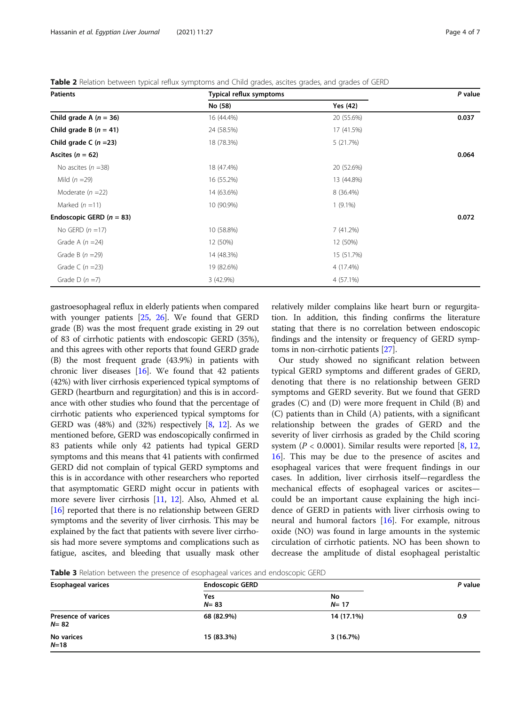<span id="page-3-0"></span>Table 2 Relation between typical reflux symptoms and Child grades, ascites grades, and grades of GERD

| <b>Patients</b>              | Typical reflux symptoms |            | P value |
|------------------------------|-------------------------|------------|---------|
|                              | No (58)                 | Yes (42)   |         |
| Child grade A $(n = 36)$     | 16 (44.4%)              | 20 (55.6%) | 0.037   |
| Child grade B $(n = 41)$     | 24 (58.5%)              | 17 (41.5%) |         |
| Child grade C $(n=23)$       | 18 (78.3%)              | 5 (21.7%)  |         |
| Ascites $(n = 62)$           |                         |            | 0.064   |
| No ascites $(n = 38)$        | 18 (47.4%)              | 20 (52.6%) |         |
| Mild $(n = 29)$              | 16 (55.2%)              | 13 (44.8%) |         |
| Moderate $(n=22)$            | 14 (63.6%)              | 8 (36.4%)  |         |
| Marked $(n = 11)$            | 10 (90.9%)              | $1(9.1\%)$ |         |
| Endoscopic GERD ( $n = 83$ ) |                         |            | 0.072   |
| No GERD $(n=17)$             | 10 (58.8%)              | 7 (41.2%)  |         |
| Grade A $(n=24)$             | 12 (50%)                | 12 (50%)   |         |
| Grade B $(n = 29)$           | 14 (48.3%)              | 15 (51.7%) |         |
| Grade C $(n=23)$             | 19 (82.6%)              | 4 (17.4%)  |         |
| Grade D $(n = 7)$            | 3 (42.9%)               | 4 (57.1%)  |         |

gastroesophageal reflux in elderly patients when compared with younger patients [[25](#page-6-0), [26](#page-6-0)]. We found that GERD grade (B) was the most frequent grade existing in 29 out of 83 of cirrhotic patients with endoscopic GERD (35%), and this agrees with other reports that found GERD grade (B) the most frequent grade (43.9%) in patients with chronic liver diseases [[16](#page-6-0)]. We found that 42 patients (42%) with liver cirrhosis experienced typical symptoms of GERD (heartburn and regurgitation) and this is in accordance with other studies who found that the percentage of cirrhotic patients who experienced typical symptoms for GERD was  $(48%)$  $(48%)$  $(48%)$  and  $(32%)$  respectively  $[8, 12]$  $[8, 12]$ . As we mentioned before, GERD was endoscopically confirmed in 83 patients while only 42 patients had typical GERD symptoms and this means that 41 patients with confirmed GERD did not complain of typical GERD symptoms and this is in accordance with other researchers who reported that asymptomatic GERD might occur in patients with more severe liver cirrhosis [\[11,](#page-5-0) [12\]](#page-5-0). Also, Ahmed et al. [[16](#page-6-0)] reported that there is no relationship between GERD symptoms and the severity of liver cirrhosis. This may be explained by the fact that patients with severe liver cirrhosis had more severe symptoms and complications such as fatigue, ascites, and bleeding that usually mask other

relatively milder complains like heart burn or regurgitation. In addition, this finding confirms the literature stating that there is no correlation between endoscopic findings and the intensity or frequency of GERD symptoms in non-cirrhotic patients [[27](#page-6-0)].

Our study showed no significant relation between typical GERD symptoms and different grades of GERD, denoting that there is no relationship between GERD symptoms and GERD severity. But we found that GERD grades (C) and (D) were more frequent in Child (B) and (C) patients than in Child (A) patients, with a significant relationship between the grades of GERD and the severity of liver cirrhosis as graded by the Child scoring system ( $P < 0.0001$ ). Similar results were reported [\[8](#page-5-0), [12](#page-5-0), [16\]](#page-6-0). This may be due to the presence of ascites and esophageal varices that were frequent findings in our cases. In addition, liver cirrhosis itself—regardless the mechanical effects of esophageal varices or ascites could be an important cause explaining the high incidence of GERD in patients with liver cirrhosis owing to neural and humoral factors [[16\]](#page-6-0). For example, nitrous oxide (NO) was found in large amounts in the systemic circulation of cirrhotic patients. NO has been shown to decrease the amplitude of distal esophageal peristaltic

**Table 3** Relation between the presence of esophageal varices and endoscopic GERD

| <b>Esophageal varices</b>            | <b>Endoscopic GERD</b> | P value        |     |
|--------------------------------------|------------------------|----------------|-----|
|                                      | Yes<br>$N = 83$        | No<br>$N = 17$ |     |
| <b>Presence of varices</b><br>$N=82$ | 68 (82.9%)             | 14 (17.1%)     | 0.9 |
| No varices<br>$N = 18$               | 15 (83.3%)             | 3(16.7%)       |     |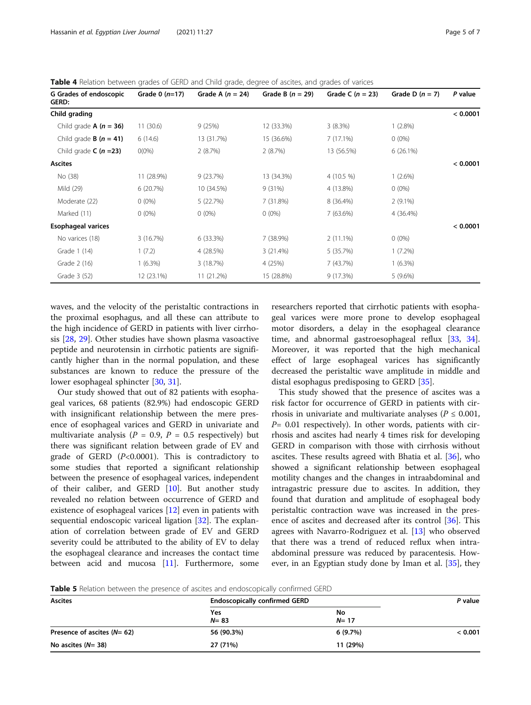<span id="page-4-0"></span>Table 4 Relation between grades of GERD and Child grade, degree of ascites, and grades of varices

| G Grades of endoscopic<br>GERD: | Grade 0 $(n=17)$ | Grade A $(n = 24)$ | Grade B $(n = 29)$ | Grade C $(n = 23)$ | Grade D $(n = 7)$ | P value  |
|---------------------------------|------------------|--------------------|--------------------|--------------------|-------------------|----------|
| Child grading                   |                  |                    |                    |                    |                   | < 0.0001 |
| Child grade $A(n = 36)$         | 11(30.6)         | 9(25%)             | 12 (33.3%)         | 3(8.3%)            | 1(2.8%)           |          |
| Child grade <b>B</b> $(n = 41)$ | 6(14.6)          | 13 (31.7%)         | 15 (36.6%)         | 7(17.1%)           | $0(0\%)$          |          |
| Child grade $C(n=23)$           | $O(0\%)$         | 2(8.7%)            | 2(8.7%)            | 13 (56.5%)         | $6(26.1\%)$       |          |
| <b>Ascites</b>                  |                  |                    |                    |                    |                   | < 0.0001 |
| No (38)                         | 11 (28.9%)       | 9(23.7%)           | 13 (34.3%)         | $4(10.5\%)$        | 1(2.6%)           |          |
| Mild (29)                       | 6 (20.7%)        | 10 (34.5%)         | 9(31%)             | 4 (13.8%)          | $0(0\%)$          |          |
| Moderate (22)                   | $0(0\%)$         | 5 (22.7%)          | 7 (31.8%)          | 8 (36.4%)          | $2(9.1\%)$        |          |
| Marked (11)                     | $0(0\%)$         | $0(0\%)$           | $0(0\%)$           | 7 (63.6%)          | 4 (36.4%)         |          |
| <b>Esophageal varices</b>       |                  |                    |                    |                    |                   | < 0.0001 |
| No varices (18)                 | 3(16.7%)         | 6 (33.3%)          | 7 (38.9%)          | $2(11.1\%)$        | $0(0\%)$          |          |
| Grade 1 (14)                    | 1(7.2)           | 4 (28.5%)          | 3(21.4%)           | 5(35.7%)           | $1(7.2\%)$        |          |
| Grade 2 (16)                    | $(6.3\%)$        | 3(18.7%)           | 4 (25%)            | 7 (43.7%)          | $1(6.3\%)$        |          |
| Grade 3 (52)                    | 12 (23.1%)       | 11 (21.2%)         | 15 (28.8%)         | 9 (17.3%)          | 5(9.6%)           |          |

waves, and the velocity of the peristaltic contractions in the proximal esophagus, and all these can attribute to the high incidence of GERD in patients with liver cirrhosis [\[28](#page-6-0), [29](#page-6-0)]. Other studies have shown plasma vasoactive peptide and neurotensin in cirrhotic patients are significantly higher than in the normal population, and these substances are known to reduce the pressure of the lower esophageal sphincter [\[30](#page-6-0), [31](#page-6-0)].

Our study showed that out of 82 patients with esophageal varices, 68 patients (82.9%) had endoscopic GERD with insignificant relationship between the mere presence of esophageal varices and GERD in univariate and multivariate analysis ( $P = 0.9$ ,  $P = 0.5$  respectively) but there was significant relation between grade of EV and grade of GERD  $(P<0.0001)$ . This is contradictory to some studies that reported a significant relationship between the presence of esophageal varices, independent of their caliber, and GERD [[10\]](#page-5-0). But another study revealed no relation between occurrence of GERD and existence of esophageal varices [[12\]](#page-5-0) even in patients with sequential endoscopic variceal ligation [[32\]](#page-6-0). The explanation of correlation between grade of EV and GERD severity could be attributed to the ability of EV to delay the esophageal clearance and increases the contact time between acid and mucosa [\[11](#page-5-0)]. Furthermore, some

researchers reported that cirrhotic patients with esophageal varices were more prone to develop esophageal motor disorders, a delay in the esophageal clearance time, and abnormal gastroesophageal reflux [\[33](#page-6-0), [34](#page-6-0)]. Moreover, it was reported that the high mechanical effect of large esophageal varices has significantly decreased the peristaltic wave amplitude in middle and distal esophagus predisposing to GERD [\[35\]](#page-6-0).

This study showed that the presence of ascites was a risk factor for occurrence of GERD in patients with cirrhosis in univariate and multivariate analyses ( $P \leq 0.001$ ,  $P= 0.01$  respectively). In other words, patients with cirrhosis and ascites had nearly 4 times risk for developing GERD in comparison with those with cirrhosis without ascites. These results agreed with Bhatia et al. [[36\]](#page-6-0), who showed a significant relationship between esophageal motility changes and the changes in intraabdominal and intragastric pressure due to ascites. In addition, they found that duration and amplitude of esophageal body peristaltic contraction wave was increased in the presence of ascites and decreased after its control [[36](#page-6-0)]. This agrees with Navarro-Rodriguez et al. [[13](#page-5-0)] who observed that there was a trend of reduced reflux when intraabdominal pressure was reduced by paracentesis. However, in an Egyptian study done by Iman et al. [[35\]](#page-6-0), they

Table 5 Relation between the presence of ascites and endoscopically confirmed GERD

| <b>Ascites</b>               | <b>Endoscopically confirmed GERD</b> |                | P value |
|------------------------------|--------------------------------------|----------------|---------|
|                              | Yes<br>$N = 83$                      | No<br>$N = 17$ |         |
| Presence of ascites $(N=62)$ | 56 (90.3%)                           | 6(9.7%)        | < 0.001 |
| No ascites $(N=38)$          | 27 (71%)                             | 11 (29%)       |         |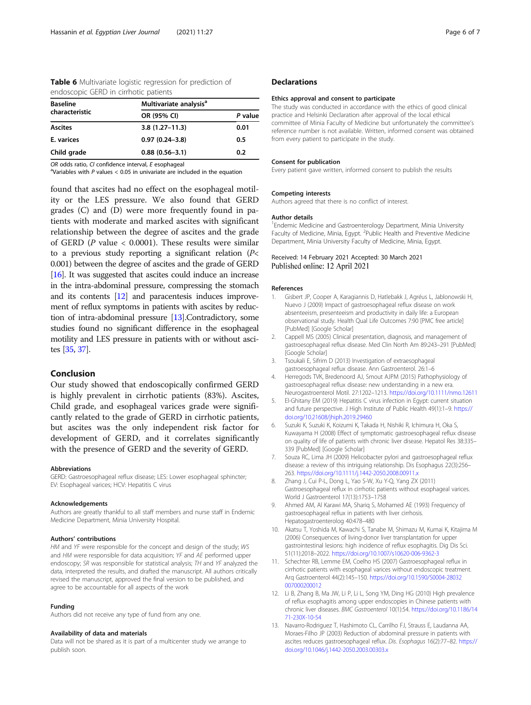<span id="page-5-0"></span>

| Table 6 Multivariate logistic regression for prediction of |  |  |
|------------------------------------------------------------|--|--|
| endoscopic GERD in cirrhotic patients                      |  |  |

| <b>Baseline</b> | Multivariate analysis <sup>a</sup> |         |  |
|-----------------|------------------------------------|---------|--|
| characteristic  | OR (95% CI)                        | P value |  |
| <b>Ascites</b>  | $3.8(1.27 - 11.3)$                 | 0.01    |  |
| E. varices      | $0.97(0.24 - 3.8)$                 | 0.5     |  |
| Child grade     | $0.88(0.56 - 3.1)$                 | 0.2     |  |

 $OR$  odds ratio,  $CI$  confidence interval,  $E$  esophageal

<sup>a</sup>Variables with P values  $< 0.05$  in univariate are included in the equation

found that ascites had no effect on the esophageal motility or the LES pressure. We also found that GERD grades (C) and (D) were more frequently found in patients with moderate and marked ascites with significant relationship between the degree of ascites and the grade of GERD ( $P$  value < 0.0001). These results were similar to a previous study reporting a significant relation  $(P<sub>1</sub>)$ 0.001) between the degree of ascites and the grade of GERD [[16](#page-6-0)]. It was suggested that ascites could induce an increase in the intra-abdominal pressure, compressing the stomach and its contents [12] and paracentesis induces improvement of reflux symptoms in patients with ascites by reduction of intra-abdominal pressure [13].Contradictory, some studies found no significant difference in the esophageal motility and LES pressure in patients with or without ascites [\[35,](#page-6-0) [37\]](#page-6-0).

# Conclusion

Our study showed that endoscopically confirmed GERD is highly prevalent in cirrhotic patients (83%). Ascites, Child grade, and esophageal varices grade were significantly related to the grade of GERD in cirrhotic patients, but ascites was the only independent risk factor for development of GERD, and it correlates significantly with the presence of GERD and the severity of GERD.

#### Abbreviations

GERD: Gastroesophageal reflux disease; LES: Lower esophageal sphincter; EV: Esophageal varices; HCV: Hepatitis C virus

#### Acknowledgements

Authors are greatly thankful to all staff members and nurse staff in Endemic Medicine Department, Minia University Hospital.

#### Authors' contributions

HM and YF were responsible for the concept and design of the study; WS and HM were responsible for data acquisition; YF and AE performed upper endoscopy; SR was responsible for statistical analysis; TH and YF analyzed the data, interpreted the results, and drafted the manuscript. All authors critically revised the manuscript, approved the final version to be published, and agree to be accountable for all aspects of the work

#### Funding

Authors did not receive any type of fund from any one.

#### Availability of data and materials

Data will not be shared as it is part of a multicenter study we arrange to publish soon.

#### **Declarations**

#### Ethics approval and consent to participate

The study was conducted in accordance with the ethics of good clinical practice and Helsinki Declaration after approval of the local ethical committee of Minia Faculty of Medicine but unfortunately the committee's reference number is not available. Written, informed consent was obtained from every patient to participate in the study.

#### Consent for publication

Every patient gave written, informed consent to publish the results

#### Competing interests

Authors agreed that there is no conflict of interest.

#### Author details

<sup>1</sup> Endemic Medicine and Gastroenterology Department, Minia University Faculty of Medicine, Minia, Egypt. <sup>2</sup>Public Health and Preventive Medicine Department, Minia University Faculty of Medicine, Minia, Egypt.

# Received: 14 February 2021 Accepted: 30 March 2021

#### References

- 1. Gisbert JP, Cooper A, Karagiannis D, Hatlebakk J, Agréus L, Jablonowski H, Nuevo J (2009) Impact of gastroesophageal reflux disease on work absenteeism, presenteeism and productivity in daily life: a European observational study. Health Qual Life Outcomes 7:90 [PMC free article] [PubMed] [Google Scholar]
- 2. Cappell MS (2005) Clinical presentation, diagnosis, and management of gastroesophageal reflux disease. Med Clin North Am 89:243–291 [PubMed] [Google Scholar]
- 3. Tsoukali E, Sifrim D (2013) Investigation of extraesophageal gastroesophageal reflux disease. Ann Gastroenterol. 26:1–6
- 4. Herregods TVK, Bredenoord AJ, Smout AJPM (2015) Pathophysiology of gastroesophageal reflux disease: new understanding in a new era. Neurogastroenterol Motil. 27:1202–1213. <https://doi.org/10.1111/nmo.12611>
- 5. El-Ghitany EM (2019) Hepatitis C virus infection in Egypt: current situation and future perspective. J High Institute of Public Health 49(1):1–9. [https://](https://doi.org/10.21608/jhiph.2019.29460) [doi.org/10.21608/jhiph.2019.29460](https://doi.org/10.21608/jhiph.2019.29460)
- 6. Suzuki K, Suzuki K, Koizumi K, Takada H, Nishiki R, Ichimura H, Oka S, Kuwayama H (2008) Effect of symptomatic gastroesophageal reflux disease on quality of life of patients with chronic liver disease. Hepatol Res 38:335– 339 [PubMed] [Google Scholar]
- 7. Souza RC, Lima JH (2009) Helicobacter pylori and gastroesophageal reflux disease: a review of this intriguing relationship. Dis Esophagus 22(3):256– 263. <https://doi.org/10.1111/j.1442-2050.2008.00911.x>
- 8. Zhang J, Cui P-L, Dong L, Yao S-W, Xu Y-Q, Yang ZX (2011) Gastroesophageal reflux in cirrhotic patients without esophageal varices. World J Gastroenterol 17(13):1753–1758
- 9. Ahmed AM, Al Karawi MA, Shariq S, Mohamed AE (1993) Frequency of gastroesophageal reflux in patients with liver cirrhosis. Hepatogastroenterolog 40:478–480
- 10. Akatsu T, Yoshida M, Kawachi S, Tanabe M, Shimazu M, Kumai K, Kitajima M (2006) Consequences of living-donor liver transplantation for upper gastrointestinal lesions: high incidence of reflux esophagitis. Dig Dis Sci. 51(11):2018–2022. <https://doi.org/10.1007/s10620-006-9362-3>
- 11. Schechter RB, Lemme EM, Coelho HS (2007) Gastroesophageal reflux in cirrhotic patients with esophageal varices without endoscopic treatment. Arq Gastroenterol 44(2):145–150. [https://doi.org/10.1590/S0004-28032](https://doi.org/10.1590/S0004-28032007000200012) [007000200012](https://doi.org/10.1590/S0004-28032007000200012)
- 12. Li B, Zhang B, Ma JW, Li P, Li L, Song YM, Ding HG (2010) High prevalence of reflux esophagitis among upper endoscopies in Chinese patients with chronic liver diseases. BMC Gastroenterol 10(1):54. [https://doi.org/10.1186/14](https://doi.org/10.1186/1471-230X-10-54) [71-230X-10-54](https://doi.org/10.1186/1471-230X-10-54)
- 13. Navarro-Rodriguez T, Hashimoto CL, Carrilho FJ, Strauss E, Laudanna AA, Moraes-Filho JP (2003) Reduction of abdominal pressure in patients with ascites reduces gastroesophageal reflux. Dis. Esophagus 16(2):77–82. [https://](https://doi.org/10.1046/j.1442-2050.2003.00303.x) [doi.org/10.1046/j.1442-2050.2003.00303.x](https://doi.org/10.1046/j.1442-2050.2003.00303.x)